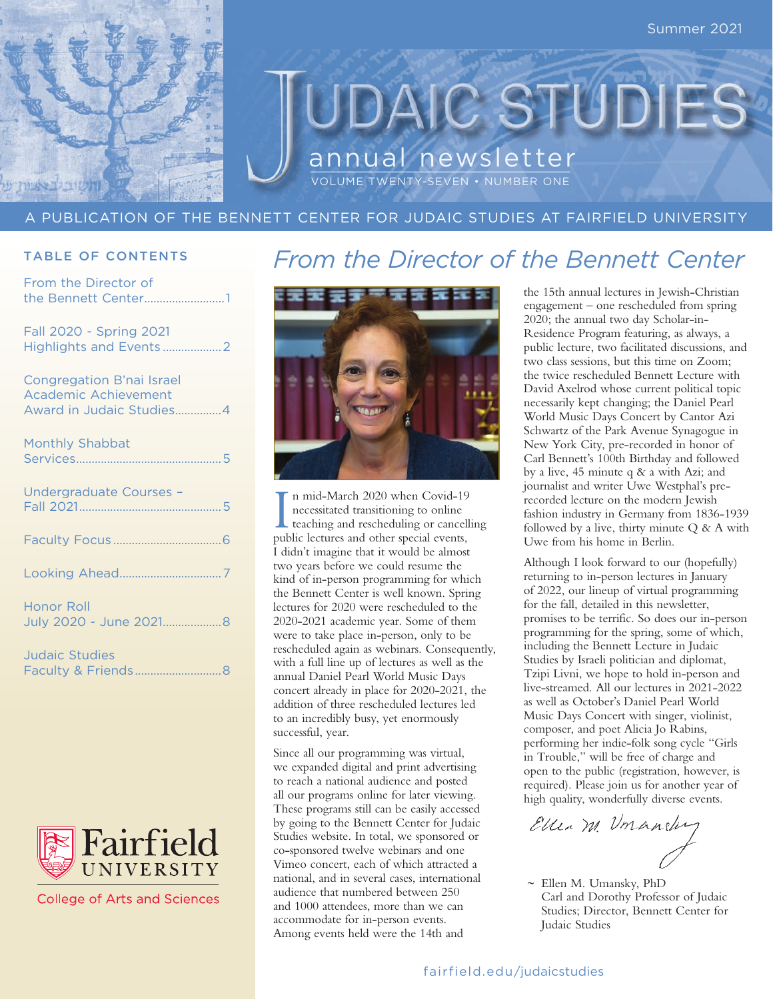

## JDAIC STUDIE annual newsletter VOLUME TWENTY-SEVEN • NUMBER ONE

## A PUBLICATION OF THE BENNETT CENTER FOR JUDAIC STUDIES AT FAIRFIELD UNIVERSITY

## TABLE OF CONTENTS

From the Director of the Bennett Center..........................1

Fall 2020 - Spring 2021 Highlights and Events ...................2

Congregation B'nai Israel Academic Achievement Award in Judaic Studies...............4

| Monthly Shabbat                      |  |
|--------------------------------------|--|
| Undergraduate Courses -              |  |
|                                      |  |
|                                      |  |
| Honor Roll<br>July 2020 - June 20218 |  |
| Judaic Studies                       |  |

| Judalc Studies |  |  |  |
|----------------|--|--|--|
|                |  |  |  |



**College of Arts and Sciences** 

## *From the Director of the Bennett Center*



In mid-March 2020 when Covid-19<br>
necessitated transitioning to online<br>
teaching and rescheduling or cancell<br>
public lectures and other special events, n mid-March 2020 when Covid-19 necessitated transitioning to online teaching and rescheduling or cancelling I didn't imagine that it would be almost two years before we could resume the kind of in-person programming for which the Bennett Center is well known. Spring lectures for 2020 were rescheduled to the 2020-2021 academic year. Some of them were to take place in-person, only to be rescheduled again as webinars. Consequently, with a full line up of lectures as well as the annual Daniel Pearl World Music Days concert already in place for 2020-2021, the addition of three rescheduled lectures led to an incredibly busy, yet enormously successful, year.

Since all our programming was virtual, we expanded digital and print advertising to reach a national audience and posted all our programs online for later viewing. These programs still can be easily accessed by going to the Bennett Center for Judaic Studies website. In total, we sponsored or co-sponsored twelve webinars and one Vimeo concert, each of which attracted a national, and in several cases, international audience that numbered between 250 and 1000 attendees, more than we can accommodate for in-person events. Among events held were the 14th and

the 15th annual lectures in Jewish-Christian engagement – one rescheduled from spring 2020; the annual two day Scholar-in-Residence Program featuring, as always, a public lecture, two facilitated discussions, and two class sessions, but this time on Zoom; the twice rescheduled Bennett Lecture with David Axelrod whose current political topic necessarily kept changing; the Daniel Pearl World Music Days Concert by Cantor Azi Schwartz of the Park Avenue Synagogue in New York City, pre-recorded in honor of Carl Bennett's 100th Birthday and followed by a live, 45 minute q & a with Azi; and journalist and writer Uwe Westphal's prerecorded lecture on the modern Jewish fashion industry in Germany from 1836-1939 followed by a live, thirty minute  $Q & A$  with Uwe from his home in Berlin.

Although I look forward to our (hopefully) returning to in-person lectures in January of 2022, our lineup of virtual programming for the fall, detailed in this newsletter, promises to be terrific. So does our in-person programming for the spring, some of which, including the Bennett Lecture in Judaic Studies by Israeli politician and diplomat, Tzipi Livni, we hope to hold in-person and live-streamed. All our lectures in 2021-2022 as well as October's Daniel Pearl World Music Days Concert with singer, violinist, composer, and poet Alicia Jo Rabins, performing her indie-folk song cycle "Girls in Trouble," will be free of charge and open to the public (registration, however, is required). Please join us for another year of high quality, wonderfully diverse events.

Ellen M. Umander

 $\sim$  Ellen M. Umansky, PhD Carl and Dorothy Professor of Judaic Studies; Director, Bennett Center for Judaic Studies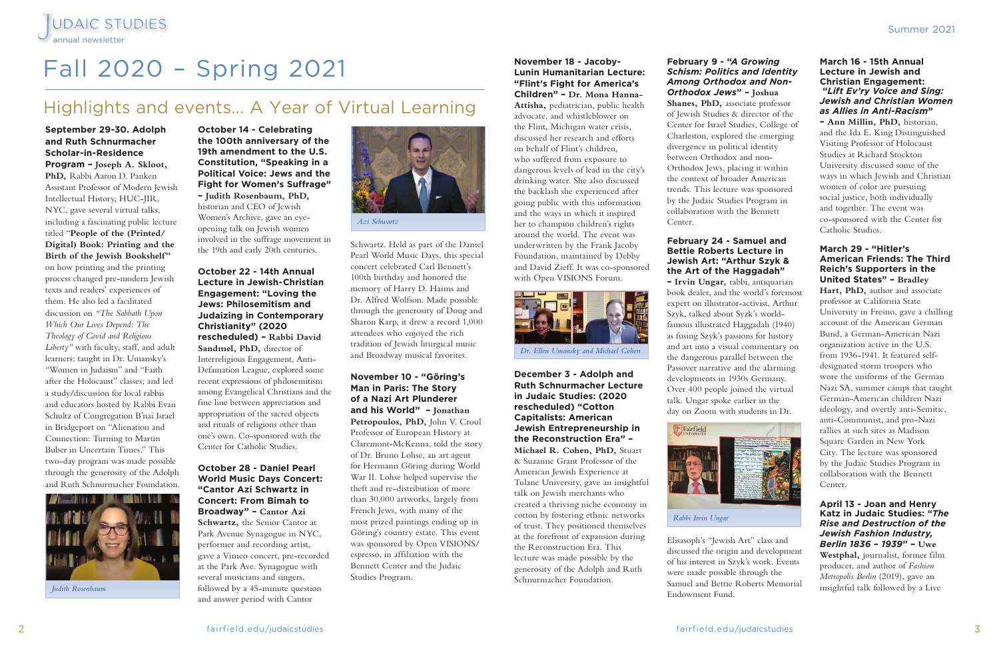**November 18 - Jacoby-Lunin Humanitarian Lecture: "Flint's Fight for America's Children" – Dr. Mona Hanna-Attisha,** pediatrician, public health advocate, and whistleblower on the Flint, Michigan water crisis, discussed her research and efforts on behalf of Flint's children, who suffered from exposure to dangerous levels of lead in the city's drinking water. She also discussed the backlash she experienced after going public with this information

and the ways in which it inspired her to champion children's rights around the world. The event was underwritten by the Frank Jacoby

Foundation, maintained by Debby and David Zieff. It was co-sponsored with Open VISIONS Forum.

**December 3 - Adolph and Ruth Schnurmacher Lecture in Judaic Studies: (2020 rescheduled) "Cotton Capitalists: American Jewish Entrepreneurship in the Reconstruction Era" – Michael R. Cohen, PhD,** Stuart & Suzanne Grant Professor of the American Jewish Experience at Tulane University, gave an insightful talk on Jewish merchants who created a thriving niche economy in cotton by fostering ethnic networks

of trust. They positioned themselves at the forefront of expansion during the Reconstruction Era. This lecture was made possible by the generosity of the Adolph and Ruth Schnurmacher Foundation.

## **February 9 - "***A Growing Schism: Politics and Identity Among Orthodox and Non-Orthodox Jews***" – Joshua**

**Shanes, PhD,** associate professor of Jewish Studies & director of the Center for Israel Studies, College of Charleston, explored the emerging divergence in political identity between Orthodox and non-Orthodox Jews, placing it within the context of broader American trends. This lecture was sponsored by the Judaic Studies Program in collaboration with the Bennett Center.

## **February 24 - Samuel and Bettie Roberts Lecture in Jewish Art: "Arthur Szyk & the Art of the Haggadah"**

**– Irvin Ungar,** rabbi, antiquarian book dealer, and the world's foremost expert on illustrator-activist, Arthur Szyk, talked about Syzk's worldfamous illustrated Haggadah (1940) as fusing Szyk's passions for history and art into a visual commentary on the dangerous parallel between the Passover narrative and the alarming developments in 1930s Germany. Over 400 people joined the virtual talk. Ungar spoke earlier in the day on Zoom with students in Dr.

Elisasoph's "Jewish Art" class and discussed the origin and development of his interest in Szyk's work. Events were made possible through the Samuel and Bettie Roberts Memorial Endowment Fund.

## **March 16 - 15th Annual Lecture in Jewish and Christian Engagement: "***Lift Ev'ry Voice and Sing: Jewish and Christian Women as Allies in Anti-Racism***"**

**– Ann Millin, PhD,** historian, and the Ida E. King Distinguished Visiting Professor of Holocaust Studies at Richard Stockton University discussed some of the ways in which Jewish and Christian women of color are pursuing social justice, both individually and together. The event was co-sponsored with the Center for Catholic Studies.

## **March 29 - "Hitler's American Friends: The Third Reich's Supporters in the United States" – Bradley**

**Hart, PhD,** author and associate professor at California State University in Fresno, gave a chilling account of the American German Bund, a German-American Nazi organization active in the U.S. from 1936-1941. It featured selfdesignated storm troopers who wore the uniforms of the German Nazi SA, summer camps that taught German-American children Nazi ideology, and overtly anti-Semitic, anti-Communist, and pro-Nazi rallies at such sites as Madison Square Garden in New York City. The lecture was sponsored by the Judaic Studies Program in collaboration with the Bennett Center.

**April 13 - Joan and Henry Katz in Judaic Studies: "***The Rise and Destruction of the Jewish Fashion Industry, Berlin 1836 – 1939***" – Uwe Westphal,** journalist, former film producer, and author of *Fashion Metropolis Berlin* (2019), gave an insightful talk followed by a Live

# Fall 2020 – Spring 2021

**September 29-30. Adolph and Ruth Schnurmacher Scholar-in-Residence Program – Joseph A. Skloot, PhD,** Rabbi Aaron D. Panken Assistant Professor of Modern Jewish Intellectual History, HUC-JIR, NYC, gave several virtual talks, including a fascinating public lecture titled "**People of the (Printed/ Digital) Book: Printing and the Birth of the Jewish Bookshelf"**  on how printing and the printing process changed pre-modern Jewish texts and readers' experiences of them. He also led a facilitated discussion on *"The Sabbath Upon Which Our Lives Depend: The Theology of Covid and Religious Liberty"* with faculty, staff, and adult learners; taught in Dr. Umansky's "Women in Judaism" and "Faith after the Holocaust" classes; and led a study/discussion for local rabbis and educators hosted by Rabbi Evan Schultz of Congregation B'nai Israel in Bridgeport on "Alienation and Connection: Turning to Martin Buber in Uncertain Times." This two-day program was made possible through the generosity of the Adolph and Ruth Schnurmacher Foundation.

JUDAIC STUDIES<br>annual newsletter

**October 14 - Celebrating the 100th anniversary of the 19th amendment to the U.S. Constitution, "Speaking in a Political Voice: Jews and the Fight for Women's Suffrage" – Judith Rosenbaum, PhD,** 

historian and CEO of Jewish Women's Archive, gave an eyeopening talk on Jewish women involved in the suffrage movement in the 19th and early 20th centuries.

**October 22 - 14th Annual Lecture in Jewish-Christian Engagement: "Loving the Jews: Philosemitism and Judaizing in Contemporary Christianity" (2020 rescheduled) – Rabbi David Sandmel, PhD,** director of Interreligious Engagement, Anti-Defamation League, explored some recent expressions of philosemitism among Evangelical Christians and the fine line between appreciation and appropriation of the sacred objects and rituals of religions other than one's own. Co-sponsored with the Center for Catholic Studies.

## **October 28 - Daniel Pearl World Music Days Concert: "Cantor Azi Schwartz in Concert: From Bimah to Broadway" – Cantor Azi Schwartz,** the Senior Cantor at Park Avenue Synagogue in NYC, performer and recording artist, gave a Vimeo concert, pre-recorded at the Park Ave. Synagogue with several musicians and singers, followed by a 45-minute question and answer period with Cantor

Schwartz. Held as part of the Daniel Pearl World Music Days, this special concert celebrated Carl Bennett's 100th birthday and honored the memory of Harry D. Haims and Dr. Alfred Wolfson. Made possible through the generosity of Doug and Sharon Karp, it drew a record 1,000 attendees who enjoyed the rich tradition of Jewish liturgical music and Broadway musical favorites.

**November 10 - "Göring's Man in Paris: The Story of a Nazi Art Plunderer and his World" – Jonathan Petropoulos, PhD,** John V. Croul Professor of European History at Claremont-McKenna, told the story of Dr. Bruno Lohse, an art agent for Hermann Göring during World War II. Lohse helped supervise the theft and re-distribution of more than 30,000 artworks, largely from French Jews, with many of the most prized paintings ending up in Göring's country estate. This event was sponsored by Open VISIONS/ espresso, in affiliation with the Bennett Center and the Judaic Studies Program.

## Highlights and events… A Year of Virtual Learning



*Judith Rosenbaum*





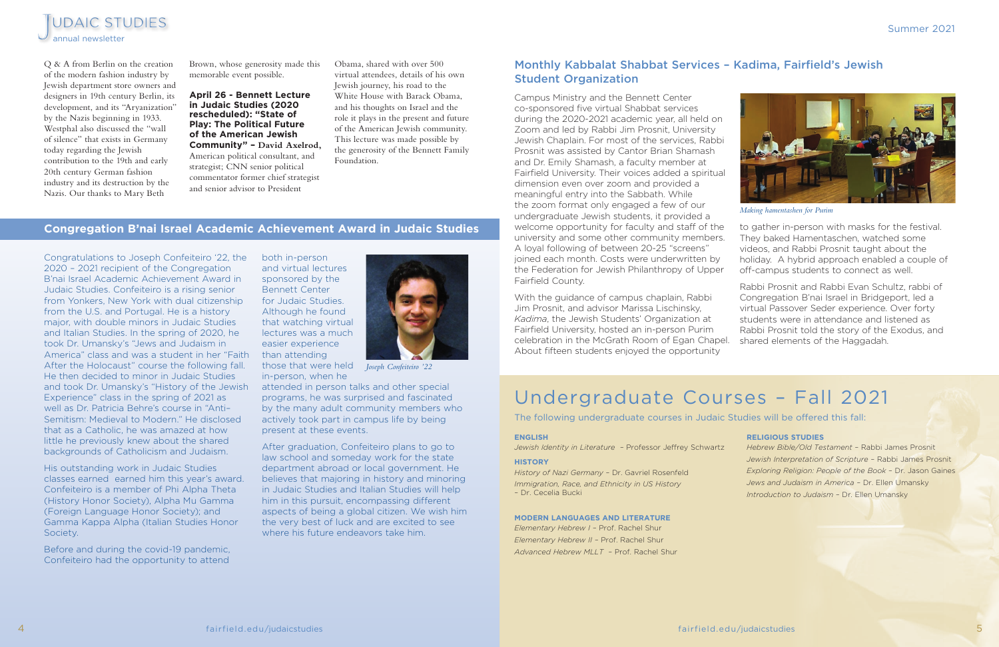Congratulations to Joseph Confeiteiro '22, the 2020 – 2021 recipient of the Congregation B'nai Israel Academic Achievement Award in Judaic Studies. Confeiteiro is a rising senior from Yonkers, New York with dual citizenship from the U.S. and Portugal. He is a history major, with double minors in Judaic Studies and Italian Studies. In the spring of 2020, he took Dr. Umansky's "Jews and Judaism in America" class and was a student in her "Faith than attending After the Holocaust" course the following fall. He then decided to minor in Judaic Studies and took Dr. Umansky's "History of the Jewish Experience" class in the spring of 2021 as well as Dr. Patricia Behre's course in "Anti– Semitism: Medieval to Modern." He disclosed that as a Catholic, he was amazed at how little he previously knew about the shared backgrounds of Catholicism and Judaism.

After graduation, Confeiteiro plans to go to law school and someday work for the state department abroad or local government. He believes that majoring in history and minoring in Judaic Studies and Italian Studies will help him in this pursuit, encompassing different aspects of being a global citizen. We wish him the very best of luck and are excited to see where his future endeavors take him.

His outstanding work in Judaic Studies classes earned earned him this year's award. Confeiteiro is a member of Phi Alpha Theta (History Honor Society), Alpha Mu Gamma (Foreign Language Honor Society); and Gamma Kappa Alpha (Italian Studies Honor Society.

Before and during the covid-19 pandemic, Confeiteiro had the opportunity to attend

both in-person and virtual lectures sponsored by the Bennett Center for Judaic Studies. Although he found that watching virtual lectures was a much easier experience those that were held *Joseph Confeiteiro '22*in-person, when he



attended in person talks and other special programs, he was surprised and fascinated by the many adult community members who actively took part in campus life by being present at these events.

With the quidance of campus chaplain, Rabbi Jim Prosnit, and advisor Marissa Lischinsky, *Kadima*, the Jewish Students' Organization at Fairfield University, hosted an in-person Purim celebration in the McGrath Room of Egan Chapel. shared elements of the Haggadah. About fifteen students enjoyed the opportunity





### **ENGLISH**

*Jewish Identity in Literature –* Professor Jeffrey Schwartz

### **HISTORY**

*History of Nazi Germany* – Dr. Gavriel Rosenfeld *Immigration, Race, and Ethnicity in US History*  – Dr. Cecelia Bucki

### **MODERN LANGUAGES AND LITERATURE**

*Elementary Hebrew I –* Prof. Rachel Shur *Elementary Hebrew II –* Prof. Rachel Shur *Advanced Hebrew MLLT –* Prof. Rachel Shur

### **RELIGIOUS STUDIES**

*Hebrew Bible/Old Testament –* Rabbi James Prosnit *Jewish Interpretation of Scripture –* Rabbi James Prosnit *Exploring Religion: People of the Book* – Dr. Jason Gaines *Jews and Judaism in America –* Dr. Ellen Umansky *Introduction to Judaism –* Dr. Ellen Umansky

The following undergraduate courses in Judaic Studies will be offered this fall:

## Undergraduate Courses – Fall 2021

## **Congregation B'nai Israel Academic Achievement Award in Judaic Studies**

## Monthly Kabbalat Shabbat Services – Kadima, Fairfield's Jewish Student Organization

Campus Ministry and the Bennett Center co-sponsored five virtual Shabbat services during the 2020-2021 academic year, all held on Zoom and led by Rabbi Jim Prosnit, University Jewish Chaplain. For most of the services, Rabbi Prosnit was assisted by Cantor Brian Shamash and Dr. Emily Shamash, a faculty member at Fairfield University. Their voices added a spiritual dimension even over zoom and provided a meaningful entry into the Sabbath. While the zoom format only engaged a few of our undergraduate Jewish students, it provided a welcome opportunity for faculty and staff of the university and some other community members. A loyal following of between 20-25 "screens" joined each month. Costs were underwritten by the Federation for Jewish Philanthropy of Upper Fairfield County. to gather in-person with masks for the festival. They baked Hamentaschen, watched some videos, and Rabbi Prosnit taught about the holiday. A hybrid approach enabled a couple of off-campus students to connect as well. *Making hamentashen for Purim* 

Rabbi Prosnit and Rabbi Evan Schultz, rabbi of Congregation B'nai Israel in Bridgeport, led a virtual Passover Seder experience. Over forty students were in attendance and listened as Rabbi Prosnit told the story of the Exodus, and

Q & A from Berlin on the creation of the modern fashion industry by Jewish department store owners and designers in 19th century Berlin, its development, and its "Aryanization" by the Nazis beginning in 1933. Westphal also discussed the "wall of silence" that exists in Germany today regarding the Jewish contribution to the 19th and early 20th century German fashion industry and its destruction by the Nazis. Our thanks to Mary Beth

Brown, whose generosity made this memorable event possible.

## **April 26 - Bennett Lecture in Judaic Studies (2020 rescheduled): "State of Play: The Political Future of the American Jewish Community" – David Axelrod,**  American political consultant, and strategist; CNN senior political commentator former chief strategist

and senior advisor to President

Obama, shared with over 500

virtual attendees, details of his own Jewish journey, his road to the White House with Barack Obama, and his thoughts on Israel and the role it plays in the present and future of the American Jewish community. This lecture was made possible by the generosity of the Bennett Family Foundation.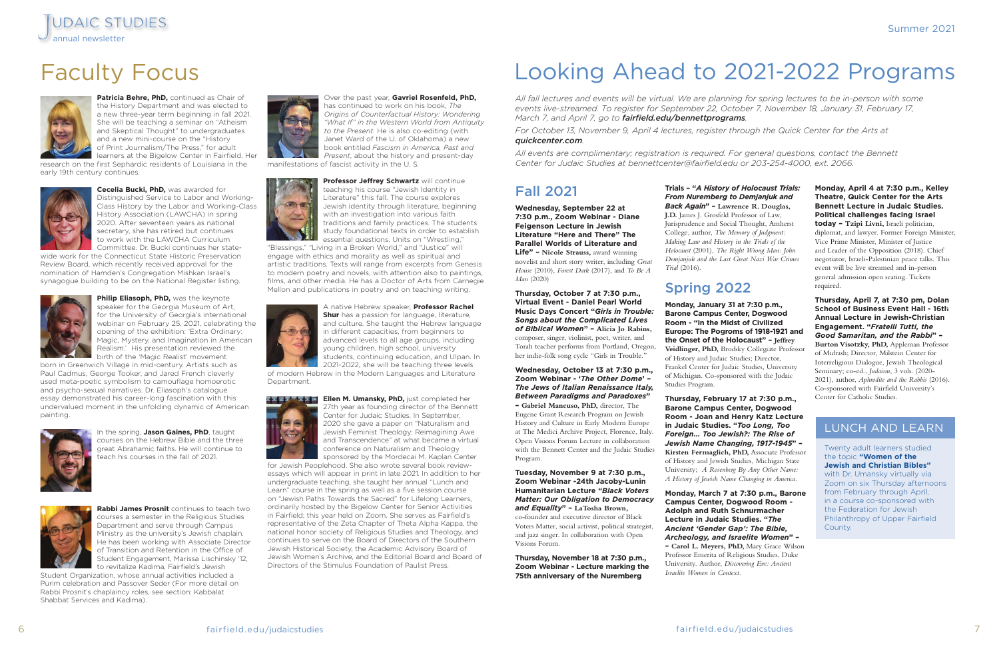## Looking Ahead to 2021-2022 Programs

*All fall lectures and events will be virtual. We are planning for spring lectures to be in-person with some events live-streamed. To register for September 22, October 7, November 18, January 31, February 17, March 7, and April 7, go to fairfield.edu/bennettprograms.*

*For October 13, November 9, April 4 lectures, register through the Quick Center for the Arts at quickcenter.com.*

*All events are complimentary; registration is required. For general questions, contact the Bennett Center for Judaic Studies at bennettcenter@fairfield.edu or 203-254-4000, ext. 2066.*

## Fall 2021

**Wednesday, September 22 at 7:30 p.m., Zoom Webinar - Diane Feigenson Lecture in Jewish Literature "Here and There" The Parallel Worlds of Literature and Life" – Nicole Strauss,** award winning novelist and short story writer, including *Great House* (2010), *Forest Dark* (2017), and *To Be A Man* (2020)

**Thursday, October 7 at 7:30 p.m., Virtual Event - Daniel Pearl World Music Days Concert "***Girls in Trouble: Songs about the Complicated Lives of Biblical Women***" – Alicia Jo Rabins,**  composer, singer, violinist, poet, writer, and Torah teacher performs from Portland, Oregon, her indie-folk song cycle "Girls in Trouble."

**Wednesday, October 13 at 7:30 p.m., Zoom Webinar - '***The Other Dome***'** *– The Jews of Italian Renaissance Italy, Between Paradigms and Paradoxes***" – Gabriel Mancuso, PhD,** director, The Eugene Grant Research Program on Jewish History and Culture in Early Modern Europe at The Medici Archive Project, Florence, Italy. Open Visions Forum Lecture in collaboration with the Bennett Center and the Judaic Studies Program.

**Tuesday, November 9 at 7:30 p.m., Zoom Webinar -24th Jacoby-Lunin Humanitarian Lecture "***Black Voters Matter: Our Obligation to Democracy and Equality***" – LaTosha Brown,**  co-founder and executive director of Black Voters Matter, social activist, political strategist, and jazz singer. In collaboration with Open Visions Forum.

**Thursday, November 18 at 7:30 p.m., Zoom Webinar - Lecture marking the 75th anniversary of the Nuremberg** 

**Trials – "***A History of Holocaust Trials: From Nuremberg to Demjanjuk and Back Again***" – Lawrence R. Douglas, J.D.** James J. Grosfeld Professor of Law, Jurisprudence and Social Thought, Amherst College, author, *The Memory of Judgment: Making Law and History in the Trials of the Holocaust* (2001)*, The Right Wrong Man: John Demjanjuk and the Last Great Nazi War Crimes Trial* (2016).

## Spring 2022

**Monday, January 31 at 7:30 p.m., Barone Campus Center, Dogwood Room - "In the Midst of Civilized Europe: The Pogroms of 1918-1921 and the Onset of the Holocaust" – Jeffrey Veidlinger, PhD,** Brodsky Collegiate Professor of History and Judaic Studies; Director, Frankel Center for Judaic Studies, University of Michigan. Co-sponsored with the Judaic Studies Program.

**Philip Eliasoph, PhD, was the keynote** speaker for the Georgia Museum of Art, for the University of Georgia's international webinar on February 25, 2021, celebrating the opening of the exhibition: 'Extra Ordinary: Magic, Mystery, and Imagination in American Realism.' His presentation reviewed the birth of the 'Magic Realist' movement

> **Thursday, February 17 at 7:30 p.m., Barone Campus Center, Dogwood Room - Joan and Henry Katz Lecture in Judaic Studies. "***Too Long, Too Foreign… Too Jewish?: The Rise of Jewish Name Changing, 1917-1945***" – Kirsten Fermaglich, PhD,** Associate Professor of History and Jewish Studies, Michigan State University; *A Rosenberg By Any Other Name: A History of Jewish Name Changing in America*.

> **Monday, March 7 at 7:30 p.m., Barone Campus Center, Dogwood Room - Adolph and Ruth Schnurmacher Lecture in Judaic Studies. "***The Ancient 'Gender Gap': The Bible, Archeology, and Israelite Women***" – – Carol L. Meyers, PhD,** Mary Grace Wilson Professor Emerita of Religious Studies, Duke University. Author, *Discovering Eve: Ancient Israelite Women in Context*.

**Monday, April 4 at 7:30 p.m., Kelley**  2. **Theatre, Quick Center for the Arts Bennett Lecture in Judaic Studies. Political challenges facing Israel today – Tzipi Livni,** Israeli politician, diplomat, and lawyer. Former Foreign Minister, Vice Prime Minister, Minister of Justice and Leader of the Opposition (2018). Chief negotiator, Israeli-Palestinian peace talks. This event will be live streamed and in-person general admission open seating. Tickets required. 3.

**Thursday, April 7, at 7:30 pm, Dolan School of Business Event Hall - 16th**  4. **Annual Lecture in Jewish-Christian Engagement. "***Fratelli Tutti, the Good Samaritan, and the Rabbi***" – Burton Visotzky, PhD,** Appleman Professor of Midrash; Director, Milstein Center for Interreligious Dialogue, Jewish Theological Seminary; co-ed., *Judaism*, 3 vols. (2020- 2021), author, *Aphrodite and the Rabbis* (2016). Co-sponsored with Fairfield University's Center for Catholic Studies.



**Patricia Behre, PhD,** continued as Chair of the History Department and was elected to a new three-year term beginning in fall 2021. She will be teaching a seminar on "Atheism and Skeptical Thought" to undergraduates and a new mini-course on the "History of Print Journalism/The Press," for adult learners at the Bigelow Center in Fairfield. Her

research on the first Sephardic residents of Louisiana in the early 19th century continues.



**Cecelia Bucki, PhD,** was awarded for Distinguished Service to Labor and Working-Class History by the Labor and Working-Class History Association (LAWCHA) in spring 2020. After seventeen years as national secretary, she has retired but continues to work with the LAWCHA Curriculum

Committee. Dr. Bucki continues her statewide work for the Connecticut State Historic Preservation Review Board, which recently received approval for the nomination of Hamden's Congregation Mishkan Israel's synagogue building to be on the National Register listing.



born in Greenwich Village in mid-century. Artists such as Paul Cadmus, George Tooker, and Jared French cleverly used meta-poetic symbolism to camouflage homoerotic and psycho-sexual narratives. Dr. Eliasoph's catalogue essay demonstrated his career-long fascination with this undervalued moment in the unfolding dynamic of American painting.



In the spring, **Jason Gaines, PhD**, taught courses on the Hebrew Bible and the three great Abrahamic faiths. He will continue to teach his courses in the fall of 2021.



**Rabbi James Prosnit** continues to teach two courses a semester in the Religious Studies Department and serve through Campus Ministry as the university's Jewish chaplain. He has been working with Associate Director of Transition and Retention in the Office of Student Engagement, Marissa Lischinsky '12, to revitalize Kadima, Fairfield's Jewish

Student Organization, whose annual activities included a Purim celebration and Passover Seder (For more detail on Rabbi Prosnit's chaplaincy roles, see section: Kabbalat Shabbat Services and Kadima).



Over the past year, **Gavriel Rosenfeld, PhD,**  has continued to work on his book, *The Origins of Counterfactual History: Wondering "What If" in the Western World from Antiquity to the Present*. He is also co-editing (with Janet Ward of the U. of Oklahoma) a new book entitled *Fascism in America, Past and Present*, about the history and present-day manifestations of fascist activity in the U. S*.* 

 $\left( \frac{1}{2} \right)$ 

**Professor Jeffrey Schwartz** will continue teaching his course "Jewish Identity in Literature" this fall. The course explores Jewish identity through literature, beginning with an investigation into various faith traditions and family practices. The students study foundational texts in order to establish essential questions. Units on "Wrestling,"

"Blessings," "Living in a Broken World," and "Justice" will engage with ethics and morality as well as spiritual and artistic traditions. Texts will range from excerpts from Genesis to modern poetry and novels, with attention also to paintings, films, and other media. He has a Doctor of Arts from Carnegie Mellon and publications in poetry and on teaching writing.



A native Hebrew speaker, **Professor Rachel Shur** has a passion for language, literature, and culture. She taught the Hebrew language in different capacities, from beginners to advanced levels to all age groups, including young children, high school, university students, continuing education, and Ulpan. In 2021-2022, she will be teaching three levels

of modern Hebrew in the Modern Languages and Literature Department.



**Ellen M. Umansky, PhD,** just completed her 27th year as founding director of the Bennett Center for Judaic Studies. In September, 2020 she gave a paper on "Naturalism and Jewish Feminist Theology: Reimagining Awe and Transcendence" at what became a virtual conference on Naturalism and Theology sponsored by the Mordecai M. Kaplan Center

for Jewish Peoplehood. She also wrote several book reviewessays which will appear in print in late 2021. In addition to her undergraduate teaching, she taught her annual "Lunch and Learn" course in the spring as well as a five session course on "Jewish Paths Towards the Sacred" for Lifelong Learners, ordinarily hosted by the Bigelow Center for Senior Activities in Fairfield; this year held on Zoom. She serves as Fairfield's representative of the Zeta Chapter of Theta Alpha Kappa, the national honor society of Religious Studies and Theology, and continues to serve on the Board of Directors of the Southern Jewish Historical Society, the Academic Advisory Board of Jewish Women's Archive, and the Editorial Board and Board of Directors of the Stimulus Foundation of Paulist Press.

## Faculty Focus



## LUNCH AND LEARN

Twenty adult learners studied the topic **"Women of the Jewish and Christian Bibles"** with Dr. Umansky virtually via Zoom on six Thursday afternoons from February through April, in a course co-sponsored with the Federation for Jewish Philanthropy of Upper Fairfield County.